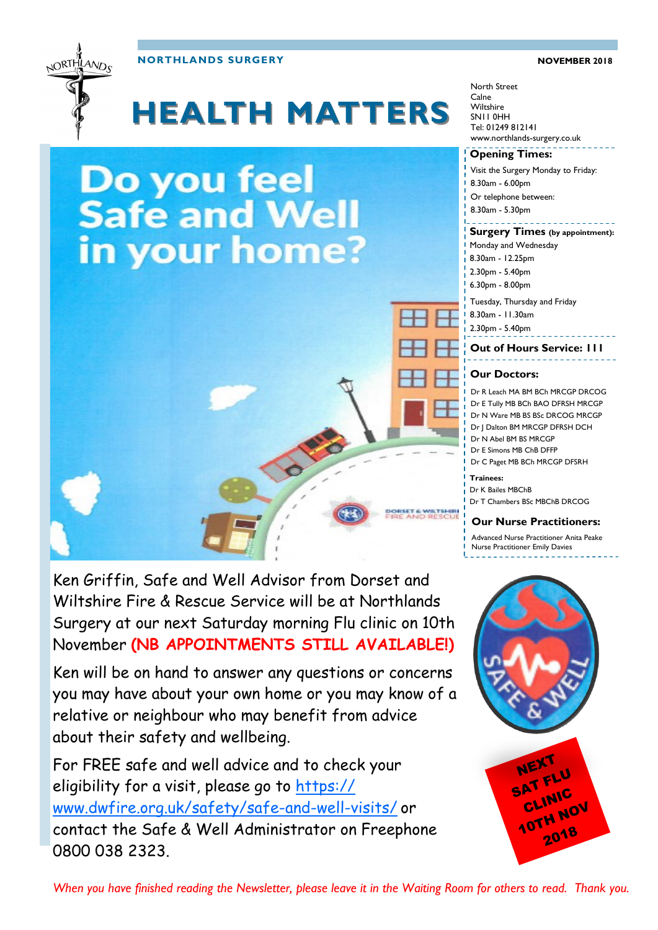



# **HEALTH MATTERS**

# Do you feel **Safe and Well** in your home?



Ken will be on hand to answer any questions or concerns you may have about your own home or you may know of a relative or neighbour who may benefit from advice about their safety and wellbeing.

For FREE safe and well advice and to check your eligibility for a visit, please go to [https://](https://www.dwfire.org.uk/safety/safe-and-well-visits/) [www.dwfire.org.uk/safety/safe-and-well-visits/](https://www.dwfire.org.uk/safety/safe-and-well-visits/) or contact the Safe & Well Administrator on Freephone 0800 038 2323.

North Street Calne **Wiltshire** SN11 0HH Tel: 01249 812141 www.northlands-surgery.co.uk

#### **Opening Times:**

Visit the Surgery Monday to Friday: 8.30am - 6.00pm Or telephone between: 8.30am - 5.30pm

#### **Surgery Times (by appointment):**

- Monday and Wednesday 8.30am - 12.25pm 2.30pm - 5.40pm
- 6.30pm 8.00pm

Tuesday, Thursday and Friday

- 8.30am 11.30am
- 2.30pm 5.40pm

#### **Out of Hours Service: 111**

#### **Our Doctors:**

Dr R Leach MA BM BCh MRCGP DRCOG Dr E Tully MB BCh BAO DFRSH MRCGP Dr N Ware MB BS BSc DRCOG MRCGP Dr J Dalton BM MRCGP DFRSH DCH Dr N Abel BM BS MRCGP Dr E Simons MB ChB DFFP Dr C Paget MB BCh MRCGP DFSRH

#### **Trainees:**

DORSET & WILTSHIP

Dr K Bailes MBChB Dr T Chambers BSc MBChB DRCOG

#### **Our Nurse Practitioners:**

Advanced Nurse Practitioner Anita Peake Nurse Practitioner Emily Davies